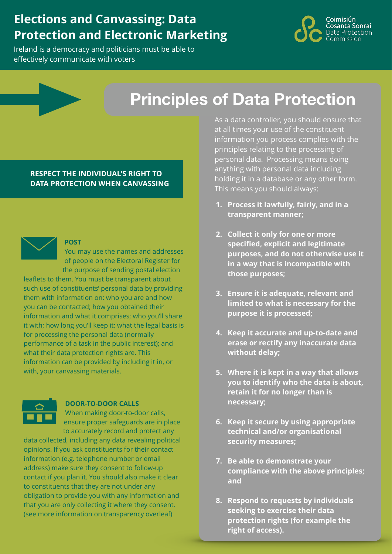# **Elections and Canvassing: Data Protection and Electronic Marketing**

Ireland is a democracy and politicians must be able to effectively communicate with voters



# **Principles of Data Protection**

**RESPECT THE INDIVIDUAL'S RIGHT TO DATA PROTECTION WHEN CANVASSING**



#### **POST**

You may use the names and addresses of people on the Electoral Register for the purpose of sending postal election

leaflets to them. You must be transparent about such use of constituents' personal data by providing them with information on: who you are and how you can be contacted; how you obtained their information and what it comprises; who you'll share it with; how long you'll keep it; what the legal basis is for processing the personal data (normally performance of a task in the public interest); and what their data protection rights are. This information can be provided by including it in, or with, your canvassing materials.



#### **DOOR-TO-DOOR CALLS**

When making door-to-door calls, ensure proper safeguards are in place to accurately record and protect any

data collected, including any data revealing political opinions. If you ask constituents for their contact information (e.g. telephone number or email address) make sure they consent to follow-up contact if you plan it. You should also make it clear to constituents that they are not under any obligation to provide you with any information and that you are only collecting it where they consent. (see more information on transparency overleaf)

As a data controller, you should ensure that at all times your use of the constituent information you process complies with the principles relating to the processing of personal data. Processing means doing anything with personal data including holding it in a database or any other form. This means you should always:

- **1. Process it lawfully, fairly, and in a transparent manner;**
- **2. Collect it only for one or more specified, explicit and legitimate purposes, and do not otherwise use it in a way that is incompatible with those purposes;**
- **3. Ensure it is adequate, relevant and limited to what is necessary for the purpose it is processed;**
- **4. Keep it accurate and up-to-date and erase or rectify any inaccurate data without delay;**
- **5. Where it is kept in a way that allows you to identify who the data is about, retain it for no longer than is necessary;**
- **6. Keep it secure by using appropriate technical and/or organisational security measures;**
- **7. Be able to demonstrate your compliance with the above principles; and**
- **8. Respond to requests by individuals seeking to exercise their data protection rights (for example the right of access).**